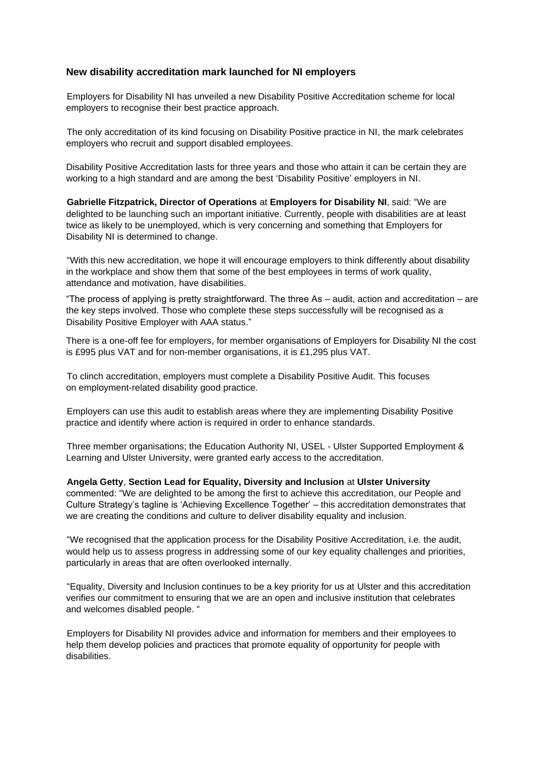## **New disability accreditation mark launched for NI employers**

Employers for Disability NI has unveiled a new Disability Positive Accreditation scheme for local employers to recognise their best practice approach.

The only accreditation of its kind focusing on Disability Positive practice in NI, the mark celebrates employers who recruit and support disabled employees.

Disability Positive Accreditation lasts for three years and those who attain it can be certain they are working to a high standard and are among the best 'Disability Positive' employers in NI.

**Gabrielle Fitzpatrick, Director of Operations** at **Employers for Disability NI**, said: "We are delighted to be launching such an important initiative. Currently, people with disabilities are at least twice as likely to be unemployed, which is very concerning and something that Employers for Disability NI is determined to change.

"With this new accreditation, we hope it will encourage employers to think differently about disability in the workplace and show them that some of the best employees in terms of work quality, attendance and motivation, have disabilities.

"The process of applying is pretty straightforward. The three As – audit, action and accreditation – are the key steps involved. Those who complete these steps successfully will be recognised as a Disability Positive Employer with AAA status."

There is a one-off fee for employers, for member organisations of Employers for Disability NI the cost is £995 plus VAT and for non-member organisations, it is £1,295 plus VAT.

To clinch accreditation, employers must complete a Disability Positive Audit. This focuses on employment-related disability good practice.

Employers can use this audit to establish areas where they are implementing Disability Positive practice and identify where action is required in order to enhance standards.

Three member organisations; the Education Authority NI, USEL - Ulster Supported Employment & Learning and Ulster University, were granted early access to the accreditation.

**Angela Getty**, **Section Lead for Equality, Diversity and Inclusion** at **Ulster University** commented: "We are delighted to be among the first to achieve this accreditation, our People and Culture Strategy's tagline is 'Achieving Excellence Together' – this accreditation demonstrates that we are creating the conditions and culture to deliver disability equality and inclusion.

"We recognised that the application process for the Disability Positive Accreditation, i.e. the audit, would help us to assess progress in addressing some of our key equality challenges and priorities, particularly in areas that are often overlooked internally.

"Equality, Diversity and Inclusion continues to be a key priority for us at Ulster and this accreditation verifies our commitment to ensuring that we are an open and inclusive institution that celebrates and welcomes disabled people. "

Employers for Disability NI provides advice and information for members and their employees to help them develop policies and practices that promote equality of opportunity for people with disabilities.